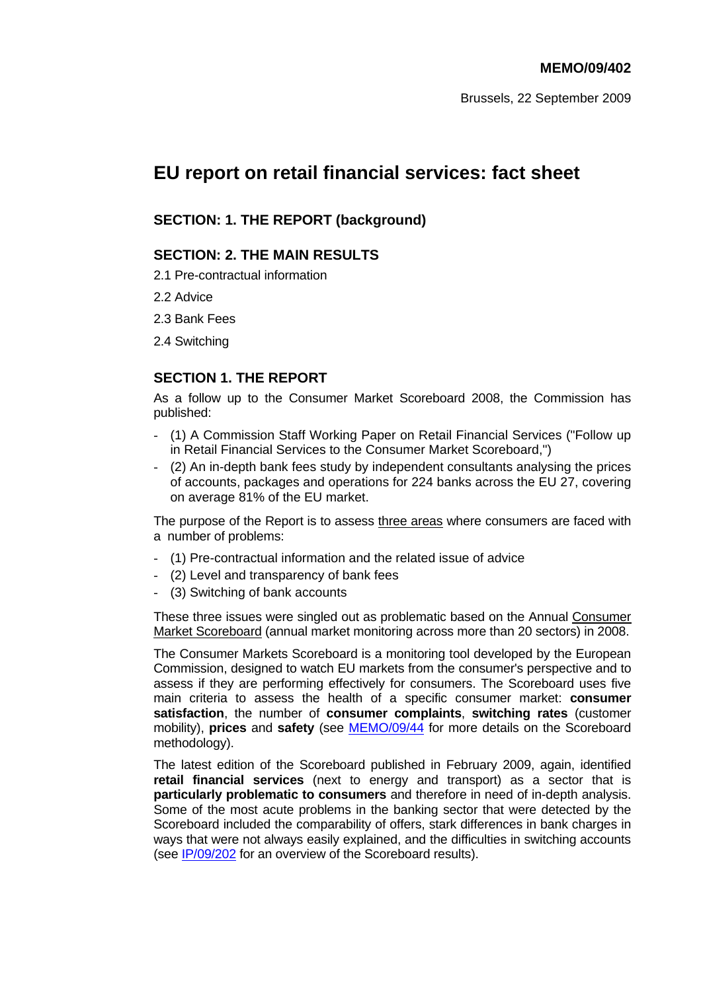Brussels, 22 September 2009

# **EU report on retail financial services: fact sheet**

### **SECTION: 1. THE REPORT (background)**

### **SECTION: 2. THE MAIN RESULTS**

2.1 Pre-contractual information

2.2 Advice

2.3 Bank Fees

2.4 Switching

### **SECTION 1. THE REPORT**

As a follow up to the Consumer Market Scoreboard 2008, the Commission has published:

- (1) A Commission Staff Working Paper on Retail Financial Services ("Follow up in Retail Financial Services to the Consumer Market Scoreboard,")
- (2) An in-depth bank fees study by independent consultants analysing the prices of accounts, packages and operations for 224 banks across the EU 27, covering on average 81% of the EU market.

The purpose of the Report is to assess three areas where consumers are faced with a number of problems:

- (1) Pre-contractual information and the related issue of advice
- (2) Level and transparency of bank fees
- (3) Switching of bank accounts

These three issues were singled out as problematic based on the Annual Consumer Market Scoreboard (annual market monitoring across more than 20 sectors) in 2008.

The Consumer Markets Scoreboard is a monitoring tool developed by the European Commission, designed to watch EU markets from the consumer's perspective and to assess if they are performing effectively for consumers. The Scoreboard uses five main criteria to assess the health of a specific consumer market: **consumer satisfaction**, the number of **consumer complaints**, **switching rates** (customer mobility), **prices** and **safety** (see [MEMO/09/44](http://europa.eu/rapid/pressReleasesAction.do?reference=MEMO/09/44&format=HTML&aged=0&language=EN) for more details on the Scoreboard methodology).

The latest edition of the Scoreboard published in February 2009, again, identified **retail financial services** (next to energy and transport) as a sector that is **particularly problematic to consumers** and therefore in need of in-depth analysis. Some of the most acute problems in the banking sector that were detected by the Scoreboard included the comparability of offers, stark differences in bank charges in ways that were not always easily explained, and the difficulties in switching accounts (see [IP/09/202 f](http://europa.eu/rapid/pressReleasesAction.do?reference=IP/09/202&format=HTML&aged=0&language=EN)or an overview of the Scoreboard results).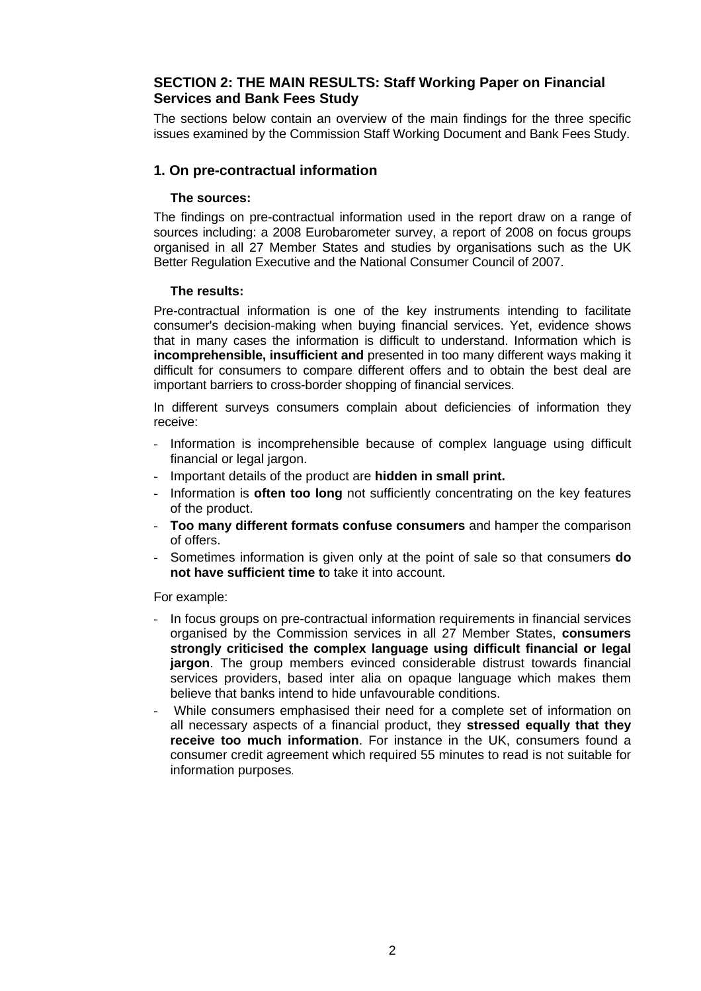### **SECTION 2: THE MAIN RESULTS: Staff Working Paper on Financial Services and Bank Fees Study**

The sections below contain an overview of the main findings for the three specific issues examined by the Commission Staff Working Document and Bank Fees Study.

### **1. On pre-contractual information**

#### **The sources:**

The findings on pre-contractual information used in the report draw on a range of sources including: a 2008 Eurobarometer survey, a report of 2008 on focus groups organised in all 27 Member States and studies by organisations such as the UK Better Regulation Executive and the National Consumer Council of 2007.

#### **The results:**

Pre-contractual information is one of the key instruments intending to facilitate consumer's decision-making when buying financial services. Yet, evidence shows that in many cases the information is difficult to understand. Information which is **incomprehensible, insufficient and** presented in too many different ways making it difficult for consumers to compare different offers and to obtain the best deal are important barriers to cross-border shopping of financial services.

In different surveys consumers complain about deficiencies of information they receive:

- Information is incomprehensible because of complex language using difficult financial or legal jargon.
- Important details of the product are **hidden in small print.**
- Information is **often too long** not sufficiently concentrating on the key features of the product.
- **Too many different formats confuse consumers** and hamper the comparison of offers.
- Sometimes information is given only at the point of sale so that consumers **do not have sufficient time t**o take it into account.

#### For example:

- In focus groups on pre-contractual information requirements in financial services organised by the Commission services in all 27 Member States, **consumers strongly criticised the complex language using difficult financial or legal jargon**. The group members evinced considerable distrust towards financial services providers, based inter alia on opaque language which makes them believe that banks intend to hide unfavourable conditions.
- While consumers emphasised their need for a complete set of information on all necessary aspects of a financial product, they **stressed equally that they receive too much information**. For instance in the UK, consumers found a consumer credit agreement which required 55 minutes to read is not suitable for information purposes.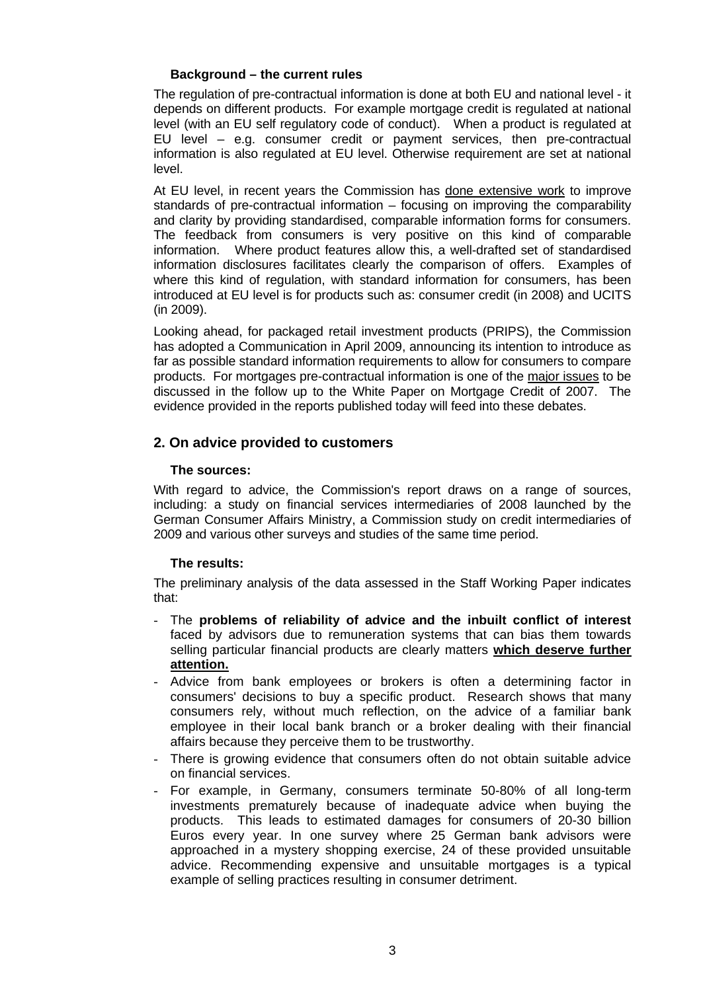### **Background – the current rules**

The regulation of pre-contractual information is done at both EU and national level - it depends on different products. For example mortgage credit is regulated at national level (with an EU self regulatory code of conduct). When a product is regulated at EU level – e.g. consumer credit or payment services, then pre-contractual information is also regulated at EU level. Otherwise requirement are set at national level.

At EU level, in recent years the Commission has done extensive work to improve standards of pre-contractual information – focusing on improving the comparability and clarity by providing standardised, comparable information forms for consumers. The feedback from consumers is very positive on this kind of comparable information. Where product features allow this, a well-drafted set of standardised information disclosures facilitates clearly the comparison of offers. Examples of where this kind of regulation, with standard information for consumers, has been introduced at EU level is for products such as: consumer credit (in 2008) and UCITS (in 2009).

Looking ahead, for packaged retail investment products (PRIPS), the Commission has adopted a Communication in April 2009, announcing its intention to introduce as far as possible standard information requirements to allow for consumers to compare products. For mortgages pre-contractual information is one of the major issues to be discussed in the follow up to the White Paper on Mortgage Credit of 2007. The evidence provided in the reports published today will feed into these debates.

### **2. On advice provided to customers**

### **The sources:**

With regard to advice, the Commission's report draws on a range of sources, including: a study on financial services intermediaries of 2008 launched by the German Consumer Affairs Ministry, a Commission study on credit intermediaries of 2009 and various other surveys and studies of the same time period.

### **The results:**

The preliminary analysis of the data assessed in the Staff Working Paper indicates that:

- The **problems of reliability of advice and the inbuilt conflict of interest** faced by advisors due to remuneration systems that can bias them towards selling particular financial products are clearly matters **which deserve further attention.**
- Advice from bank employees or brokers is often a determining factor in consumers' decisions to buy a specific product. Research shows that many consumers rely, without much reflection, on the advice of a familiar bank employee in their local bank branch or a broker dealing with their financial affairs because they perceive them to be trustworthy.
- There is growing evidence that consumers often do not obtain suitable advice on financial services.
- For example, in Germany, consumers terminate 50-80% of all long-term investments prematurely because of inadequate advice when buying the products. This leads to estimated damages for consumers of 20-30 billion Euros every year. In one survey where 25 German bank advisors were approached in a mystery shopping exercise, 24 of these provided unsuitable advice. Recommending expensive and unsuitable mortgages is a typical example of selling practices resulting in consumer detriment.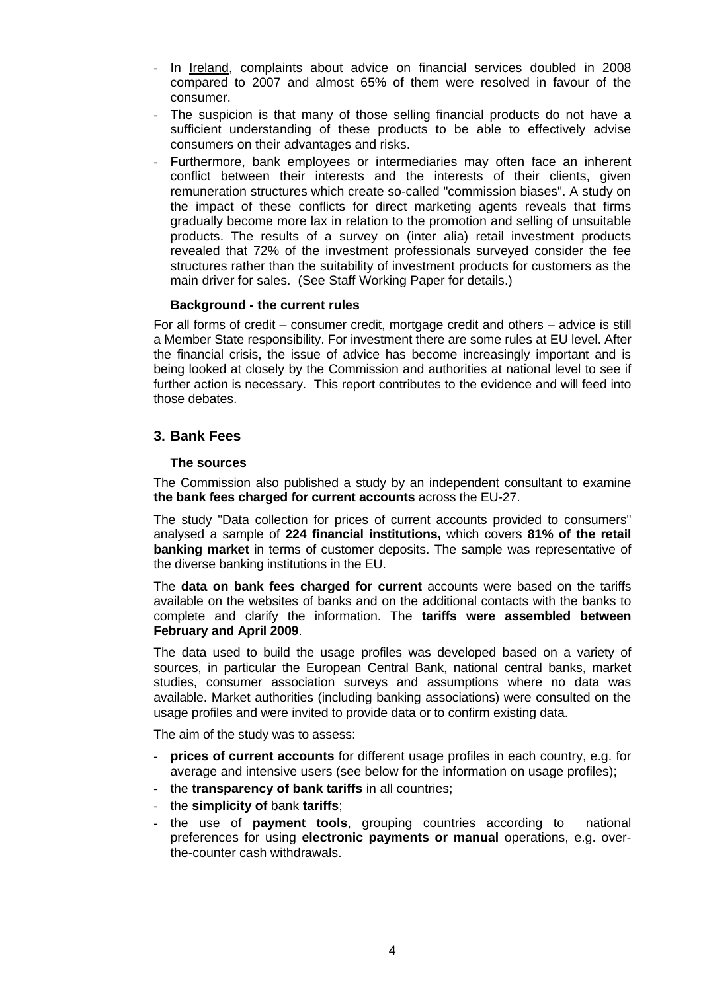- In Ireland, complaints about advice on financial services doubled in 2008 compared to 2007 and almost 65% of them were resolved in favour of the consumer.
- The suspicion is that many of those selling financial products do not have a sufficient understanding of these products to be able to effectively advise consumers on their advantages and risks.
- Furthermore, bank employees or intermediaries may often face an inherent conflict between their interests and the interests of their clients, given remuneration structures which create so-called "commission biases". A study on the impact of these conflicts for direct marketing agents reveals that firms gradually become more lax in relation to the promotion and selling of unsuitable products. The results of a survey on (inter alia) retail investment products revealed that 72% of the investment professionals surveyed consider the fee structures rather than the suitability of investment products for customers as the main driver for sales. (See Staff Working Paper for details.)

#### **Background - the current rules**

For all forms of credit – consumer credit, mortgage credit and others – advice is still a Member State responsibility. For investment there are some rules at EU level. After the financial crisis, the issue of advice has become increasingly important and is being looked at closely by the Commission and authorities at national level to see if further action is necessary. This report contributes to the evidence and will feed into those debates.

#### **3. Bank Fees**

#### **The sources**

The Commission also published a study by an independent consultant to examine **the bank fees charged for current accounts** across the EU-27.

The study "Data collection for prices of current accounts provided to consumers" analysed a sample of **224 financial institutions,** which covers **81% of the retail banking market** in terms of customer deposits. The sample was representative of the diverse banking institutions in the EU.

The **data on bank fees charged for current** accounts were based on the tariffs available on the websites of banks and on the additional contacts with the banks to complete and clarify the information. The **tariffs were assembled between February and April 2009**.

The data used to build the usage profiles was developed based on a variety of sources, in particular the European Central Bank, national central banks, market studies, consumer association surveys and assumptions where no data was available. Market authorities (including banking associations) were consulted on the usage profiles and were invited to provide data or to confirm existing data.

The aim of the study was to assess:

- **prices of current accounts** for different usage profiles in each country, e.g. for average and intensive users (see below for the information on usage profiles);
- the **transparency of bank tariffs** in all countries;
- the **simplicity of** bank **tariffs**;
- the use of **payment tools**, grouping countries according to national preferences for using **electronic payments or manual** operations, e.g. overthe-counter cash withdrawals.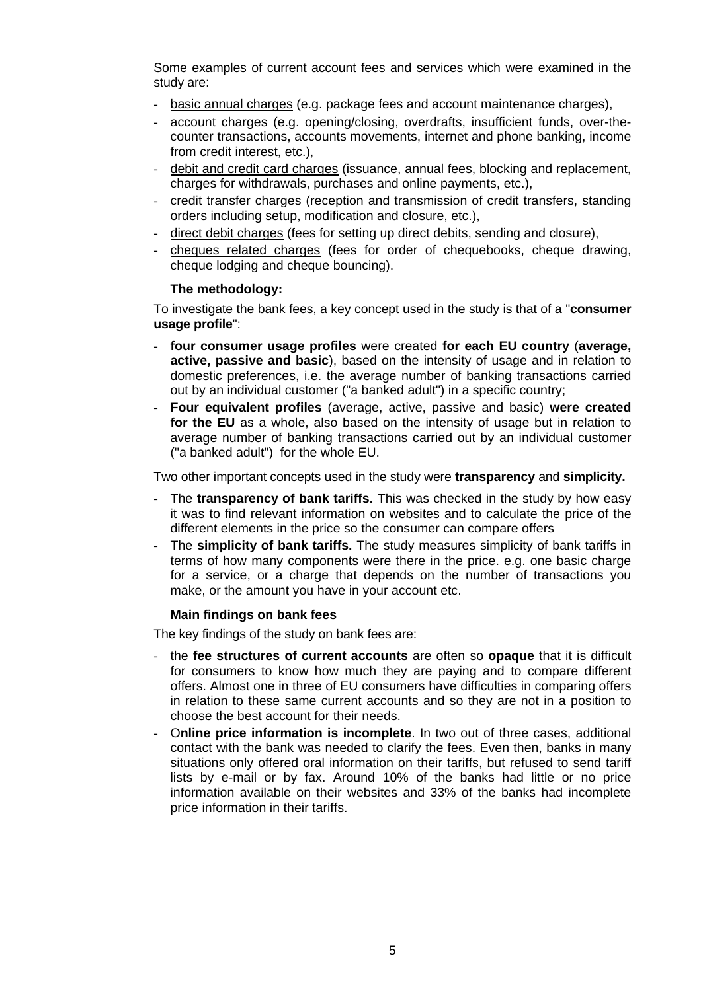Some examples of current account fees and services which were examined in the study are:

- basic annual charges (e.g. package fees and account maintenance charges),
- account charges (e.g. opening/closing, overdrafts, insufficient funds, over-thecounter transactions, accounts movements, internet and phone banking, income from credit interest, etc.).
- debit and credit card charges (issuance, annual fees, blocking and replacement, charges for withdrawals, purchases and online payments, etc.),
- credit transfer charges (reception and transmission of credit transfers, standing orders including setup, modification and closure, etc.),
- direct debit charges (fees for setting up direct debits, sending and closure),
- cheques related charges (fees for order of chequebooks, cheque drawing, cheque lodging and cheque bouncing).

#### **The methodology:**

To investigate the bank fees, a key concept used in the study is that of a "**consumer usage profile**":

- **four consumer usage profiles** were created **for each EU country** (**average, active, passive and basic**), based on the intensity of usage and in relation to domestic preferences, i.e. the average number of banking transactions carried out by an individual customer ("a banked adult") in a specific country;
- **Four equivalent profiles** (average, active, passive and basic) **were created for the EU** as a whole, also based on the intensity of usage but in relation to average number of banking transactions carried out by an individual customer ("a banked adult") for the whole EU.

Two other important concepts used in the study were **transparency** and **simplicity.** 

- The **transparency of bank tariffs.** This was checked in the study by how easy it was to find relevant information on websites and to calculate the price of the different elements in the price so the consumer can compare offers
- The **simplicity of bank tariffs.** The study measures simplicity of bank tariffs in terms of how many components were there in the price. e.g. one basic charge for a service, or a charge that depends on the number of transactions you make, or the amount you have in your account etc.

### **Main findings on bank fees**

The key findings of the study on bank fees are:

- the **fee structures of current accounts** are often so **opaque** that it is difficult for consumers to know how much they are paying and to compare different offers. Almost one in three of EU consumers have difficulties in comparing offers in relation to these same current accounts and so they are not in a position to choose the best account for their needs.
- O**nline price information is incomplete**. In two out of three cases, additional contact with the bank was needed to clarify the fees. Even then, banks in many situations only offered oral information on their tariffs, but refused to send tariff lists by e-mail or by fax. Around 10% of the banks had little or no price information available on their websites and 33% of the banks had incomplete price information in their tariffs.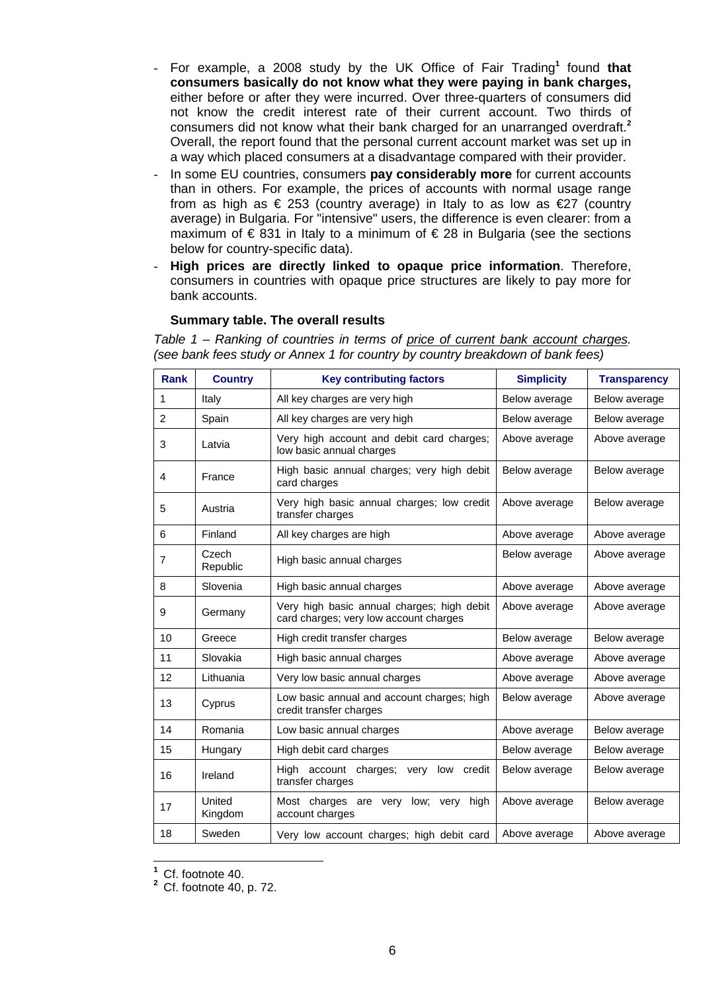- For example, a 2008 study by the UK Office of Fair Trading**<sup>1</sup>** found **that consumers basically do not know what they were paying in bank charges,** either before or after they were incurred. Over three-quarters of consumers did not know the credit interest rate of their current account. Two thirds of consumers did not know what their bank charged for an unarranged overdraft.**<sup>2</sup>** Overall, the report found that the personal current account market was set up in a way which placed consumers at a disadvantage compared with their provider.
- In some EU countries, consumers **pay considerably more** for current accounts than in others. For example, the prices of accounts with normal usage range from as high as  $\epsilon$  253 (country average) in Italy to as low as  $\epsilon$ 27 (country average) in Bulgaria. For "intensive" users, the difference is even clearer: from a maximum of  $\epsilon$  831 in Italy to a minimum of  $\epsilon$  28 in Bulgaria (see the sections below for country-specific data).
- **High prices are directly linked to opaque price information**. Therefore, consumers in countries with opaque price structures are likely to pay more for bank accounts.

#### **Summary table. The overall results**

*Table 1 – Ranking of countries in terms of price of current bank account charges. (see bank fees study or Annex 1 for country by country breakdown of bank fees)* 

| <b>Rank</b>    | <b>Country</b>    | <b>Key contributing factors</b>                                                      | <b>Simplicity</b> | <b>Transparency</b> |
|----------------|-------------------|--------------------------------------------------------------------------------------|-------------------|---------------------|
| 1              | Italy             | All key charges are very high                                                        | Below average     | Below average       |
| 2              | Spain             | All key charges are very high                                                        | Below average     | Below average       |
| 3              | Latvia            | Very high account and debit card charges;<br>low basic annual charges                | Above average     | Above average       |
| 4              | France            | High basic annual charges; very high debit<br>card charges                           | Below average     | Below average       |
| 5              | Austria           | Very high basic annual charges; low credit<br>transfer charges                       | Above average     | Below average       |
| 6              | Finland           | All key charges are high                                                             | Above average     | Above average       |
| $\overline{7}$ | Czech<br>Republic | High basic annual charges                                                            | Below average     | Above average       |
| 8              | Slovenia          | High basic annual charges                                                            | Above average     | Above average       |
| 9              | Germany           | Very high basic annual charges; high debit<br>card charges; very low account charges | Above average     | Above average       |
| 10             | Greece            | High credit transfer charges                                                         | Below average     | Below average       |
| 11             | Slovakia          | High basic annual charges                                                            | Above average     | Above average       |
| 12             | Lithuania         | Very low basic annual charges                                                        | Above average     | Above average       |
| 13             | Cyprus            | Low basic annual and account charges; high<br>credit transfer charges                | Below average     | Above average       |
| 14             | Romania           | Low basic annual charges                                                             | Above average     | Below average       |
| 15             | Hungary           | High debit card charges                                                              | Below average     | Below average       |
| 16             | Ireland           | High account charges;<br>low<br>credit<br>very<br>transfer charges                   | Below average     | Below average       |
| 17             | United<br>Kingdom | Most charges are very<br>low; very<br>high<br>account charges                        | Above average     | Below average       |
| 18             | Sweden            | Very low account charges; high debit card                                            | Above average     | Above average       |

 **1** Cf. footnote 40.

**2** Cf. footnote 40, p. 72.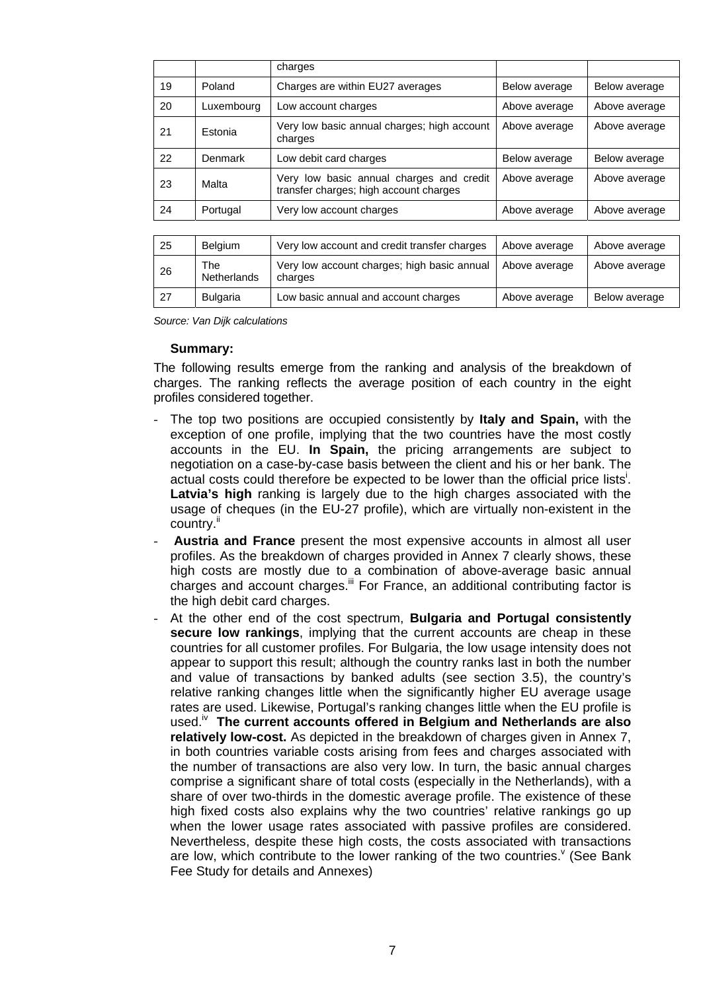|    |                           | charges                                                                            |               |               |
|----|---------------------------|------------------------------------------------------------------------------------|---------------|---------------|
| 19 | Poland                    | Charges are within EU27 averages                                                   | Below average | Below average |
| 20 | Luxembourg                | Low account charges                                                                | Above average | Above average |
| 21 | Estonia                   | Very low basic annual charges; high account<br>charges                             | Above average | Above average |
| 22 | Denmark                   | Low debit card charges                                                             | Below average | Below average |
| 23 | Malta                     | Very low basic annual charges and credit<br>transfer charges; high account charges | Above average | Above average |
| 24 | Portugal                  | Very low account charges                                                           | Above average | Above average |
|    |                           |                                                                                    |               |               |
| 25 | Belgium                   | Very low account and credit transfer charges                                       | Above average | Above average |
| 26 | The<br><b>Netherlands</b> | Very low account charges; high basic annual<br>charges                             | Above average | Above average |

27 Bulgaria Low basic annual and account charges Above average Below average

| Source: Van Dijk calculations |  |
|-------------------------------|--|

#### **Summary:**

The following results emerge from the ranking and analysis of the breakdown of charges. The ranking reflects the average position of each country in the eight profiles considered together.

- The top two positions are occupied consistently by **Italy and Spain,** with the exception of one profile, implying that the two countries have the most costly accounts in the EU. **In Spain,** the pricing arrangements are subject to negotiation on a case-by-case basis between the client and his or her bank. The actual costs could therefore be expected to be lower than the official price lists<sup>i</sup>. **Latvia's high** ranking is largely due to the high charges associated with the usage of cheques (in the EU-27 profile), which are virtually non-existent in the country.<sup>ii</sup>
- **Austria and France** present the most expensive accounts in almost all user profiles. As the breakdown of charges provided in Annex 7 clearly shows, these high costs are mostly due to a combination of above-average basic annual charges and account charges.<sup>iii</sup> For France, an additional contributing factor is the high debit card charges.
- At the other end of the cost spectrum, **Bulgaria and Portugal consistently secure low rankings**, implying that the current accounts are cheap in these countries for all customer profiles. For Bulgaria, the low usage intensity does not appear to support this result; although the country ranks last in both the number and value of transactions by banked adults (see section 3.5), the country's relative ranking changes little when the significantly higher EU average usage rates are used. Likewise, Portugal's ranking changes little when the EU profile is used.<sup>iv</sup> The current accounts offered in Belgium and Netherlands are also **relatively low-cost.** As depicted in the breakdown of charges given in Annex 7, in both countries variable costs arising from fees and charges associated with the number of transactions are also very low. In turn, the basic annual charges comprise a significant share of total costs (especially in the Netherlands), with a share of over two-thirds in the domestic average profile. The existence of these high fixed costs also explains why the two countries' relative rankings go up when the lower usage rates associated with passive profiles are considered. Nevertheless, despite these high costs, the costs associated with transactions are low, which contribute to the lower ranking of the two countries.  $\sqrt{ }$  (See Bank Fee Study for details and Annexes)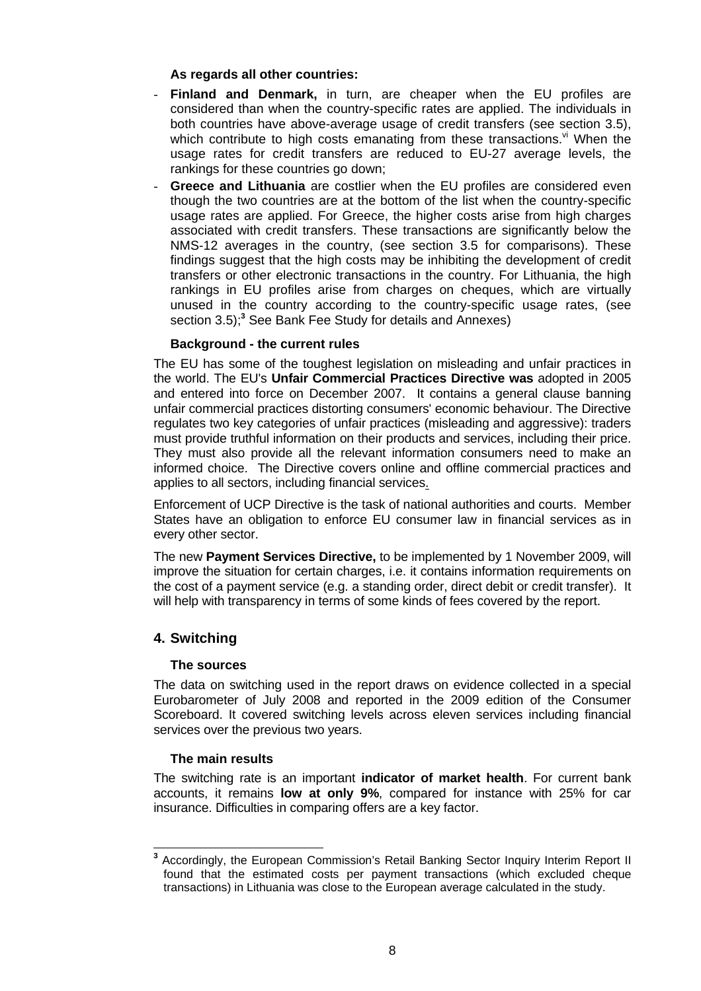### **As regards all other countries:**

- **Finland and Denmark,** in turn, are cheaper when the EU profiles are considered than when the country-specific rates are applied. The individuals in both countries have above-average usage of credit transfers (see section 3.5), which contribute to high costs emanating from these transactions. $v<sup>i</sup>$  When the usage rates for credit transfers are reduced to EU-27 average levels, the rankings for these countries go down;
- **Greece and Lithuania** are costlier when the EU profiles are considered even though the two countries are at the bottom of the list when the country-specific usage rates are applied. For Greece, the higher costs arise from high charges associated with credit transfers. These transactions are significantly below the NMS-12 averages in the country, (see section 3.5 for comparisons). These findings suggest that the high costs may be inhibiting the development of credit transfers or other electronic transactions in the country. For Lithuania, the high rankings in EU profiles arise from charges on cheques, which are virtually unused in the country according to the country-specific usage rates, (see section 3.5);**<sup>3</sup>** See Bank Fee Study for details and Annexes)

### **Background - the current rules**

The EU has some of the toughest legislation on misleading and unfair practices in the world. The EU's **Unfair Commercial Practices Directive was** adopted in 2005 and entered into force on December 2007. It contains a general clause banning unfair commercial practices distorting consumers' economic behaviour. The Directive regulates two key categories of unfair practices (misleading and aggressive): traders must provide truthful information on their products and services, including their price. They must also provide all the relevant information consumers need to make an informed choice. The Directive covers online and offline commercial practices and applies to all sectors, including financial services.

Enforcement of UCP Directive is the task of national authorities and courts. Member States have an obligation to enforce EU consumer law in financial services as in every other sector.

The new **Payment Services Directive,** to be implemented by 1 November 2009, will improve the situation for certain charges, i.e. it contains information requirements on the cost of a payment service (e.g. a standing order, direct debit or credit transfer). It will help with transparency in terms of some kinds of fees covered by the report.

### **4. Switching**

### **The sources**

The data on switching used in the report draws on evidence collected in a special Eurobarometer of July 2008 and reported in the 2009 edition of the Consumer Scoreboard. It covered switching levels across eleven services including financial services over the previous two years.

### **The main results**

The switching rate is an important **indicator of market health**. For current bank accounts, it remains **low at only 9%**, compared for instance with 25% for car insurance. Difficulties in comparing offers are a key factor.

 **3** Accordingly, the European Commission's Retail Banking Sector Inquiry Interim Report II found that the estimated costs per payment transactions (which excluded cheque transactions) in Lithuania was close to the European average calculated in the study.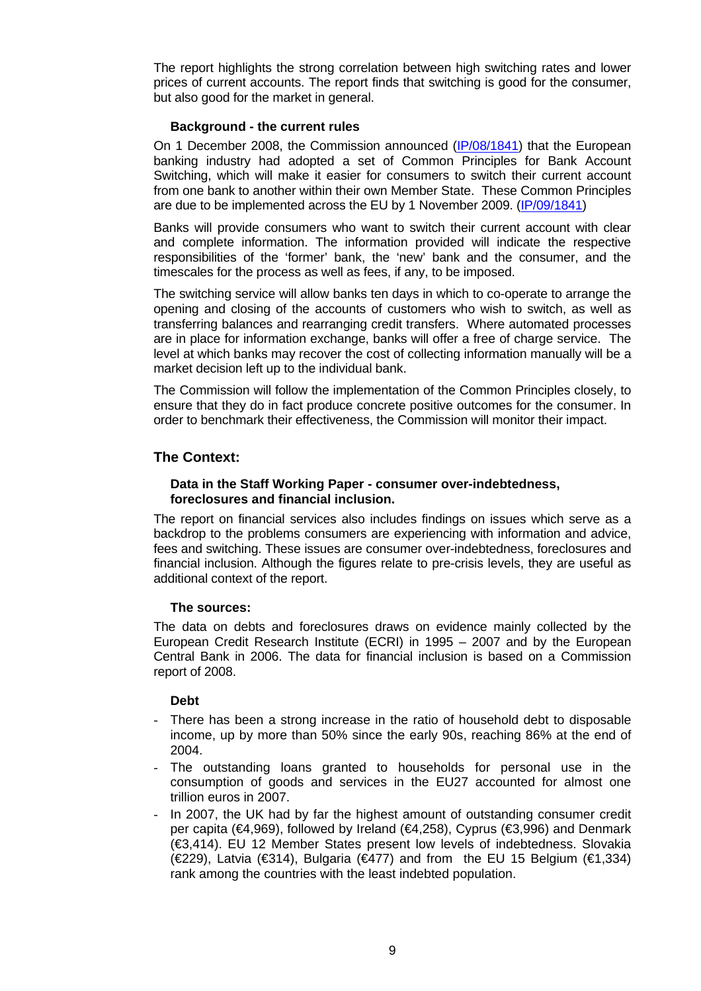The report highlights the strong correlation between high switching rates and lower prices of current accounts. The report finds that switching is good for the consumer, but also good for the market in general.

#### **Background - the current rules**

On 1 December 2008, the Commission announced [\(IP/08/1841\)](http://europa.eu/rapid/pressReleasesAction.do?reference=IP/08/1841&format=HTML&aged=0&language=EN&guiLanguage=en) that the European banking industry had adopted a set of Common Principles for Bank Account Switching, which will make it easier for consumers to switch their current account from one bank to another within their own Member State. These Common Principles are due to be implemented across the EU by 1 November 2009. [\(IP/09/1841\)](http://europa.eu/rapid/pressReleasesAction.do?reference=IP/08/1841&format=HTML&aged=0&language=EN&guiLanguage=en) 

Banks will provide consumers who want to switch their current account with clear and complete information. The information provided will indicate the respective responsibilities of the 'former' bank, the 'new' bank and the consumer, and the timescales for the process as well as fees, if any, to be imposed.

The switching service will allow banks ten days in which to co-operate to arrange the opening and closing of the accounts of customers who wish to switch, as well as transferring balances and rearranging credit transfers. Where automated processes are in place for information exchange, banks will offer a free of charge service. The level at which banks may recover the cost of collecting information manually will be a market decision left up to the individual bank.

The Commission will follow the implementation of the Common Principles closely, to ensure that they do in fact produce concrete positive outcomes for the consumer. In order to benchmark their effectiveness, the Commission will monitor their impact.

### **The Context:**

### **Data in the Staff Working Paper - consumer over-indebtedness, foreclosures and financial inclusion.**

The report on financial services also includes findings on issues which serve as a backdrop to the problems consumers are experiencing with information and advice, fees and switching. These issues are consumer over-indebtedness, foreclosures and financial inclusion. Although the figures relate to pre-crisis levels, they are useful as additional context of the report.

### **The sources:**

The data on debts and foreclosures draws on evidence mainly collected by the European Credit Research Institute (ECRI) in 1995 – 2007 and by the European Central Bank in 2006. The data for financial inclusion is based on a Commission report of 2008.

### **Debt**

- There has been a strong increase in the ratio of household debt to disposable income, up by more than 50% since the early 90s, reaching 86% at the end of 2004.
- The outstanding loans granted to households for personal use in the consumption of goods and services in the EU27 accounted for almost one trillion euros in 2007.
- In 2007, the UK had by far the highest amount of outstanding consumer credit per capita (€4,969), followed by Ireland (€4,258), Cyprus (€3,996) and Denmark (€3,414). EU 12 Member States present low levels of indebtedness. Slovakia (€229), Latvia (€314), Bulgaria (€477) and from the EU 15 Belgium (€1,334) rank among the countries with the least indebted population.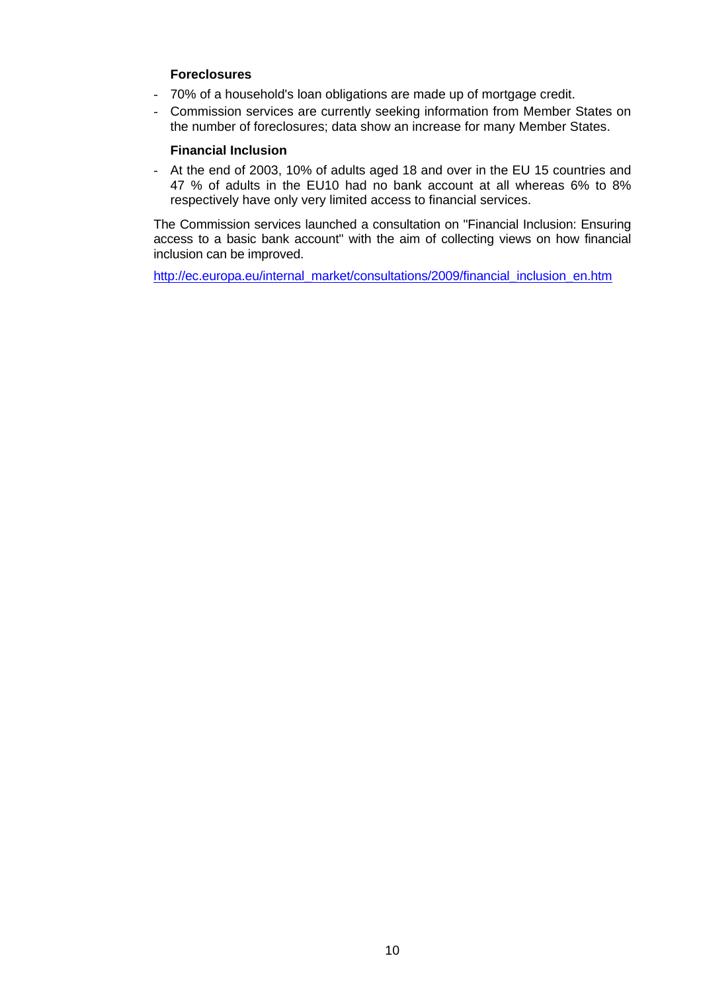### **Foreclosures**

- 70% of a household's loan obligations are made up of mortgage credit.
- Commission services are currently seeking information from Member States on the number of foreclosures; data show an increase for many Member States.

### **Financial Inclusion**

- At the end of 2003, 10% of adults aged 18 and over in the EU 15 countries and 47 % of adults in the EU10 had no bank account at all whereas 6% to 8% respectively have only very limited access to financial services.

The Commission services launched a consultation on "Financial Inclusion: Ensuring access to a basic bank account" with the aim of collecting views on how financial inclusion can be improved.

[http://ec.europa.eu/internal\\_market/consultations/2009/financial\\_inclusion\\_en.htm](http://ec.europa.eu/internal_market/consultations/2009/financial_inclusion_en.htm)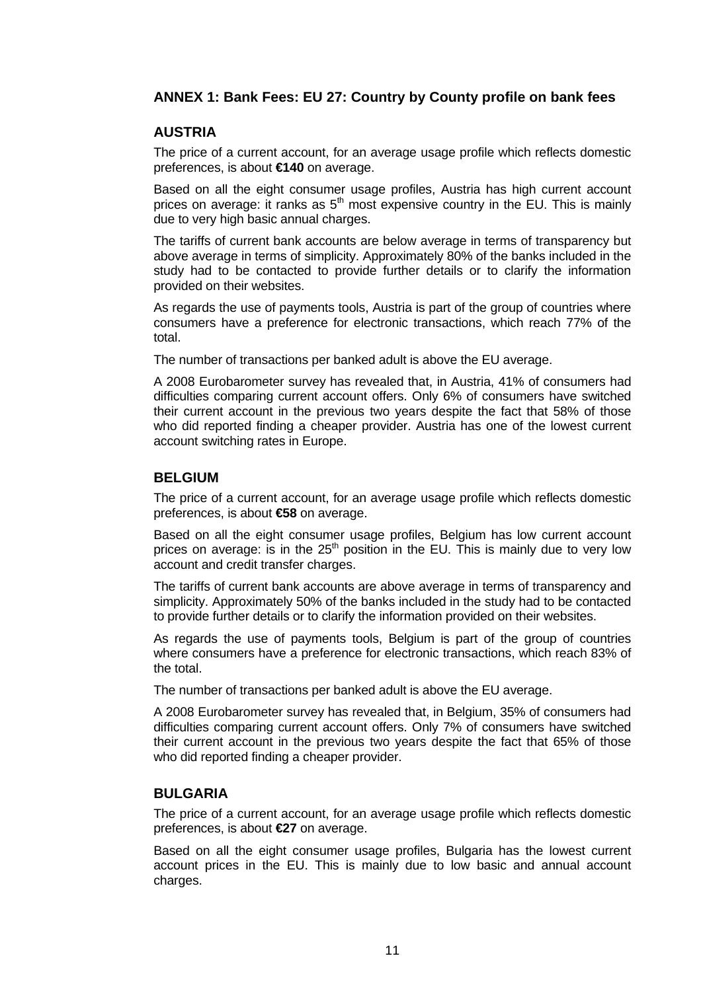### **ANNEX 1: Bank Fees: EU 27: Country by County profile on bank fees**

### **AUSTRIA**

The price of a current account, for an average usage profile which reflects domestic preferences, is about **€140** on average.

Based on all the eight consumer usage profiles, Austria has high current account prices on average: it ranks as  $5<sup>th</sup>$  most expensive country in the EU. This is mainly due to very high basic annual charges.

The tariffs of current bank accounts are below average in terms of transparency but above average in terms of simplicity. Approximately 80% of the banks included in the study had to be contacted to provide further details or to clarify the information provided on their websites.

As regards the use of payments tools, Austria is part of the group of countries where consumers have a preference for electronic transactions, which reach 77% of the total.

The number of transactions per banked adult is above the EU average.

A 2008 Eurobarometer survey has revealed that, in Austria, 41% of consumers had difficulties comparing current account offers. Only 6% of consumers have switched their current account in the previous two years despite the fact that 58% of those who did reported finding a cheaper provider. Austria has one of the lowest current account switching rates in Europe.

### **BELGIUM**

The price of a current account, for an average usage profile which reflects domestic preferences, is about **€58** on average.

Based on all the eight consumer usage profiles, Belgium has low current account prices on average: is in the  $25<sup>th</sup>$  position in the EU. This is mainly due to very low account and credit transfer charges.

The tariffs of current bank accounts are above average in terms of transparency and simplicity. Approximately 50% of the banks included in the study had to be contacted to provide further details or to clarify the information provided on their websites.

As regards the use of payments tools, Belgium is part of the group of countries where consumers have a preference for electronic transactions, which reach 83% of the total.

The number of transactions per banked adult is above the EU average.

A 2008 Eurobarometer survey has revealed that, in Belgium, 35% of consumers had difficulties comparing current account offers. Only 7% of consumers have switched their current account in the previous two years despite the fact that 65% of those who did reported finding a cheaper provider.

### **BULGARIA**

The price of a current account, for an average usage profile which reflects domestic preferences, is about **€27** on average.

Based on all the eight consumer usage profiles, Bulgaria has the lowest current account prices in the EU. This is mainly due to low basic and annual account charges.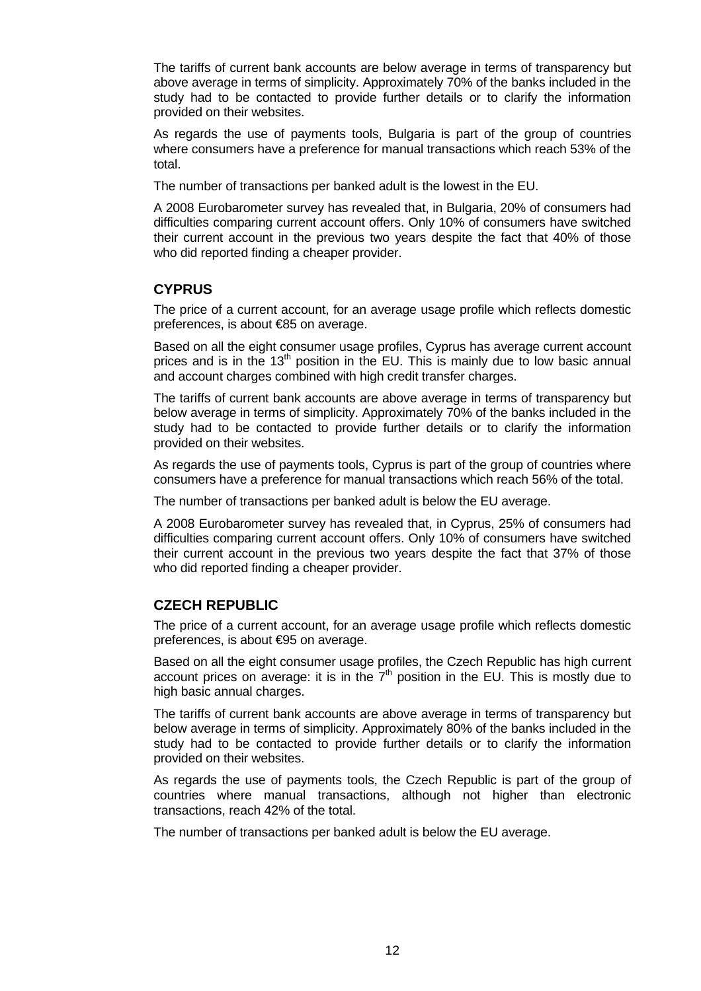The tariffs of current bank accounts are below average in terms of transparency but above average in terms of simplicity. Approximately 70% of the banks included in the study had to be contacted to provide further details or to clarify the information provided on their websites.

As regards the use of payments tools, Bulgaria is part of the group of countries where consumers have a preference for manual transactions which reach 53% of the total.

The number of transactions per banked adult is the lowest in the EU.

A 2008 Eurobarometer survey has revealed that, in Bulgaria, 20% of consumers had difficulties comparing current account offers. Only 10% of consumers have switched their current account in the previous two years despite the fact that 40% of those who did reported finding a cheaper provider.

### **CYPRUS**

The price of a current account, for an average usage profile which reflects domestic preferences, is about €85 on average.

Based on all the eight consumer usage profiles, Cyprus has average current account prices and is in the  $13<sup>th</sup>$  position in the EU. This is mainly due to low basic annual and account charges combined with high credit transfer charges.

The tariffs of current bank accounts are above average in terms of transparency but below average in terms of simplicity. Approximately 70% of the banks included in the study had to be contacted to provide further details or to clarify the information provided on their websites.

As regards the use of payments tools, Cyprus is part of the group of countries where consumers have a preference for manual transactions which reach 56% of the total.

The number of transactions per banked adult is below the EU average.

A 2008 Eurobarometer survey has revealed that, in Cyprus, 25% of consumers had difficulties comparing current account offers. Only 10% of consumers have switched their current account in the previous two years despite the fact that 37% of those who did reported finding a cheaper provider.

## **CZECH REPUBLIC**

The price of a current account, for an average usage profile which reflects domestic preferences, is about €95 on average.

Based on all the eight consumer usage profiles, the Czech Republic has high current account prices on average: it is in the  $7<sup>th</sup>$  position in the EU. This is mostly due to high basic annual charges.

The tariffs of current bank accounts are above average in terms of transparency but below average in terms of simplicity. Approximately 80% of the banks included in the study had to be contacted to provide further details or to clarify the information provided on their websites.

As regards the use of payments tools, the Czech Republic is part of the group of countries where manual transactions, although not higher than electronic transactions, reach 42% of the total.

The number of transactions per banked adult is below the EU average.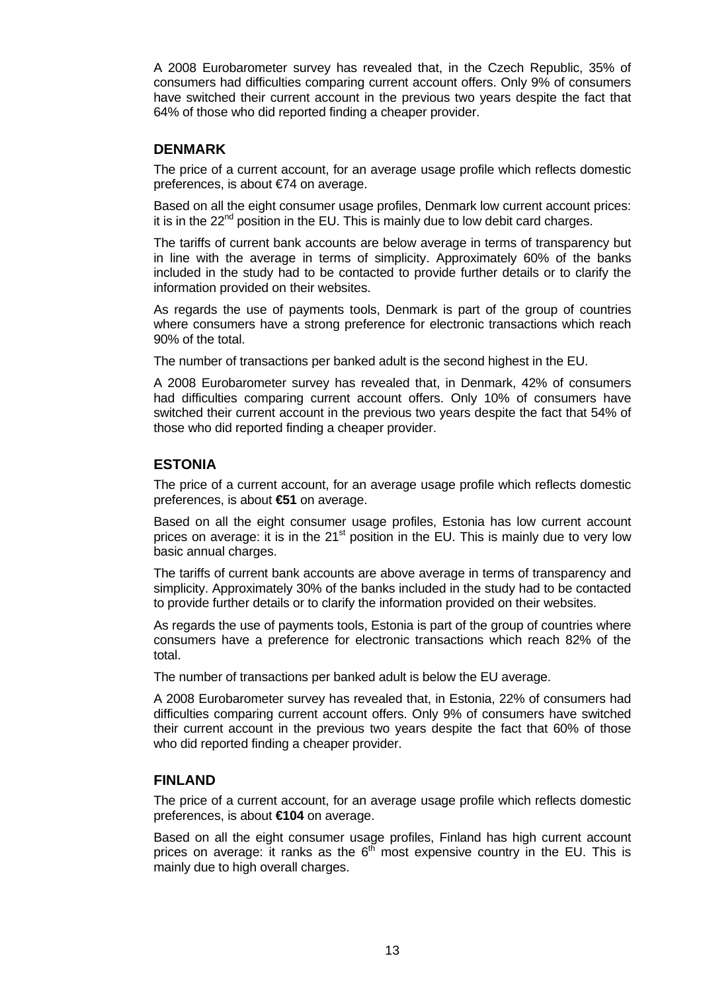A 2008 Eurobarometer survey has revealed that, in the Czech Republic, 35% of consumers had difficulties comparing current account offers. Only 9% of consumers have switched their current account in the previous two years despite the fact that 64% of those who did reported finding a cheaper provider.

### **DENMARK**

The price of a current account, for an average usage profile which reflects domestic preferences, is about €74 on average.

Based on all the eight consumer usage profiles, Denmark low current account prices: it is in the  $22<sup>nd</sup>$  position in the EU. This is mainly due to low debit card charges.

The tariffs of current bank accounts are below average in terms of transparency but in line with the average in terms of simplicity. Approximately 60% of the banks included in the study had to be contacted to provide further details or to clarify the information provided on their websites.

As regards the use of payments tools, Denmark is part of the group of countries where consumers have a strong preference for electronic transactions which reach 90% of the total.

The number of transactions per banked adult is the second highest in the EU.

A 2008 Eurobarometer survey has revealed that, in Denmark, 42% of consumers had difficulties comparing current account offers. Only 10% of consumers have switched their current account in the previous two years despite the fact that 54% of those who did reported finding a cheaper provider.

### **ESTONIA**

The price of a current account, for an average usage profile which reflects domestic preferences, is about **€51** on average.

Based on all the eight consumer usage profiles, Estonia has low current account prices on average: it is in the  $21<sup>st</sup>$  position in the EU. This is mainly due to very low basic annual charges.

The tariffs of current bank accounts are above average in terms of transparency and simplicity. Approximately 30% of the banks included in the study had to be contacted to provide further details or to clarify the information provided on their websites.

As regards the use of payments tools, Estonia is part of the group of countries where consumers have a preference for electronic transactions which reach 82% of the total.

The number of transactions per banked adult is below the EU average.

A 2008 Eurobarometer survey has revealed that, in Estonia, 22% of consumers had difficulties comparing current account offers. Only 9% of consumers have switched their current account in the previous two years despite the fact that 60% of those who did reported finding a cheaper provider.

### **FINLAND**

The price of a current account, for an average usage profile which reflects domestic preferences, is about **€104** on average.

Based on all the eight consumer usage profiles, Finland has high current account prices on average: it ranks as the  $6<sup>th</sup>$  most expensive country in the EU. This is mainly due to high overall charges.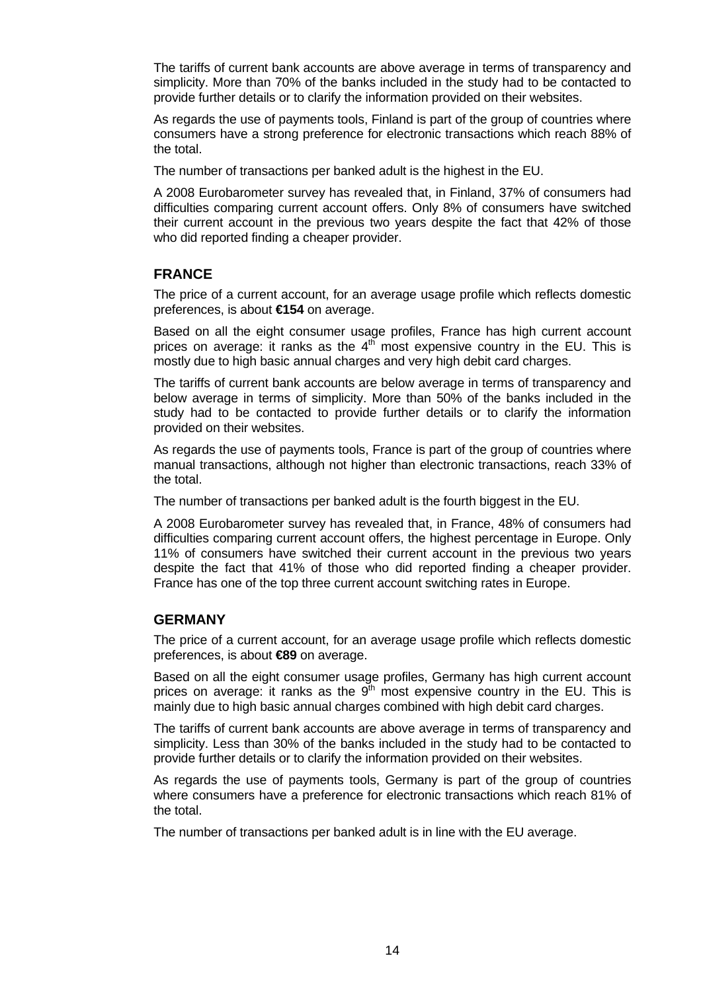The tariffs of current bank accounts are above average in terms of transparency and simplicity. More than 70% of the banks included in the study had to be contacted to provide further details or to clarify the information provided on their websites.

As regards the use of payments tools, Finland is part of the group of countries where consumers have a strong preference for electronic transactions which reach 88% of the total.

The number of transactions per banked adult is the highest in the EU.

A 2008 Eurobarometer survey has revealed that, in Finland, 37% of consumers had difficulties comparing current account offers. Only 8% of consumers have switched their current account in the previous two years despite the fact that 42% of those who did reported finding a cheaper provider.

### **FRANCE**

The price of a current account, for an average usage profile which reflects domestic preferences, is about **€154** on average.

Based on all the eight consumer usage profiles, France has high current account prices on average: it ranks as the  $4<sup>th</sup>$  most expensive country in the EU. This is mostly due to high basic annual charges and very high debit card charges.

The tariffs of current bank accounts are below average in terms of transparency and below average in terms of simplicity. More than 50% of the banks included in the study had to be contacted to provide further details or to clarify the information provided on their websites.

As regards the use of payments tools, France is part of the group of countries where manual transactions, although not higher than electronic transactions, reach 33% of the total.

The number of transactions per banked adult is the fourth biggest in the EU.

A 2008 Eurobarometer survey has revealed that, in France, 48% of consumers had difficulties comparing current account offers, the highest percentage in Europe. Only 11% of consumers have switched their current account in the previous two years despite the fact that 41% of those who did reported finding a cheaper provider. France has one of the top three current account switching rates in Europe.

### **GERMANY**

The price of a current account, for an average usage profile which reflects domestic preferences, is about **€89** on average.

Based on all the eight consumer usage profiles, Germany has high current account prices on average: it ranks as the  $9<sup>th</sup>$  most expensive country in the EU. This is mainly due to high basic annual charges combined with high debit card charges.

The tariffs of current bank accounts are above average in terms of transparency and simplicity. Less than 30% of the banks included in the study had to be contacted to provide further details or to clarify the information provided on their websites.

As regards the use of payments tools, Germany is part of the group of countries where consumers have a preference for electronic transactions which reach 81% of the total.

The number of transactions per banked adult is in line with the EU average.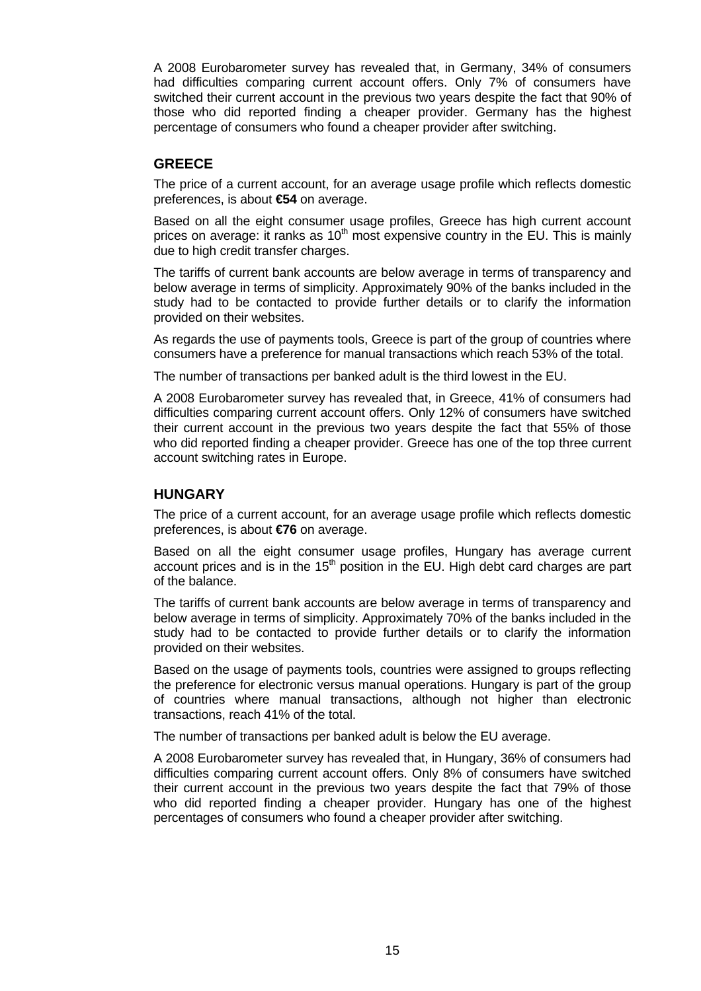A 2008 Eurobarometer survey has revealed that, in Germany, 34% of consumers had difficulties comparing current account offers. Only 7% of consumers have switched their current account in the previous two years despite the fact that 90% of those who did reported finding a cheaper provider. Germany has the highest percentage of consumers who found a cheaper provider after switching.

### **GREECE**

The price of a current account, for an average usage profile which reflects domestic preferences, is about **€54** on average.

Based on all the eight consumer usage profiles, Greece has high current account prices on average: it ranks as  $10<sup>th</sup>$  most expensive country in the EU. This is mainly due to high credit transfer charges.

The tariffs of current bank accounts are below average in terms of transparency and below average in terms of simplicity. Approximately 90% of the banks included in the study had to be contacted to provide further details or to clarify the information provided on their websites.

As regards the use of payments tools, Greece is part of the group of countries where consumers have a preference for manual transactions which reach 53% of the total.

The number of transactions per banked adult is the third lowest in the EU.

A 2008 Eurobarometer survey has revealed that, in Greece, 41% of consumers had difficulties comparing current account offers. Only 12% of consumers have switched their current account in the previous two years despite the fact that 55% of those who did reported finding a cheaper provider. Greece has one of the top three current account switching rates in Europe.

### **HUNGARY**

The price of a current account, for an average usage profile which reflects domestic preferences, is about **€76** on average.

Based on all the eight consumer usage profiles, Hungary has average current account prices and is in the  $15<sup>th</sup>$  position in the EU. High debt card charges are part of the balance.

The tariffs of current bank accounts are below average in terms of transparency and below average in terms of simplicity. Approximately 70% of the banks included in the study had to be contacted to provide further details or to clarify the information provided on their websites.

Based on the usage of payments tools, countries were assigned to groups reflecting the preference for electronic versus manual operations. Hungary is part of the group of countries where manual transactions, although not higher than electronic transactions, reach 41% of the total.

The number of transactions per banked adult is below the EU average.

A 2008 Eurobarometer survey has revealed that, in Hungary, 36% of consumers had difficulties comparing current account offers. Only 8% of consumers have switched their current account in the previous two years despite the fact that 79% of those who did reported finding a cheaper provider. Hungary has one of the highest percentages of consumers who found a cheaper provider after switching.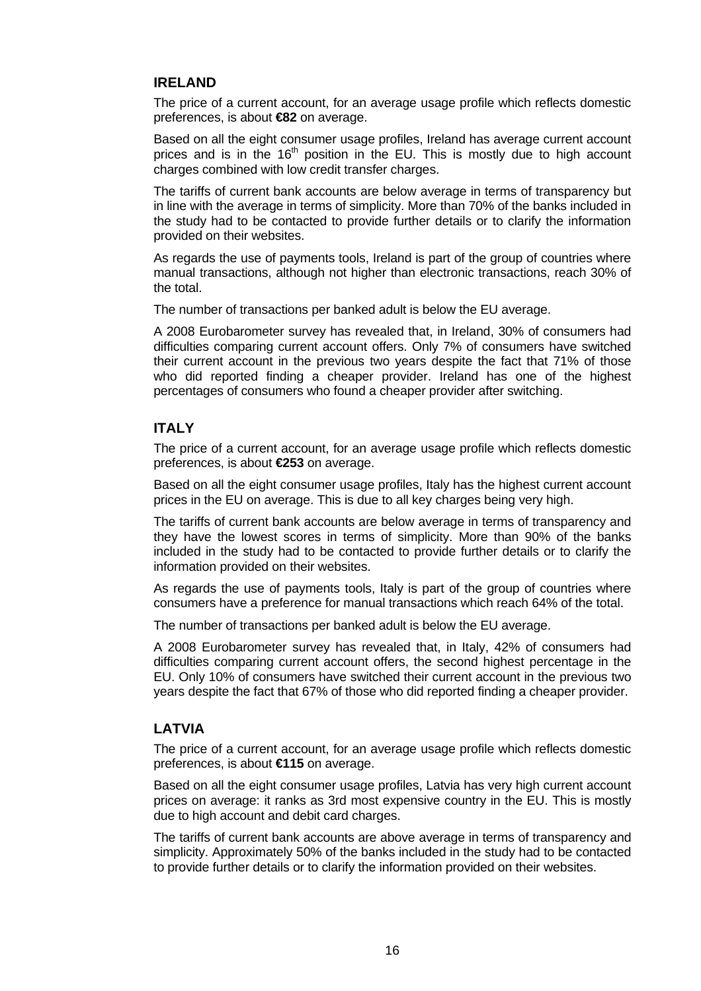### **IRELAND**

The price of a current account, for an average usage profile which reflects domestic preferences, is about **€82** on average.

Based on all the eight consumer usage profiles, Ireland has average current account prices and is in the  $16<sup>th</sup>$  position in the EU. This is mostly due to high account charges combined with low credit transfer charges.

The tariffs of current bank accounts are below average in terms of transparency but in line with the average in terms of simplicity. More than 70% of the banks included in the study had to be contacted to provide further details or to clarify the information provided on their websites.

As regards the use of payments tools, Ireland is part of the group of countries where manual transactions, although not higher than electronic transactions, reach 30% of the total.

The number of transactions per banked adult is below the EU average.

A 2008 Eurobarometer survey has revealed that, in Ireland, 30% of consumers had difficulties comparing current account offers. Only 7% of consumers have switched their current account in the previous two years despite the fact that 71% of those who did reported finding a cheaper provider. Ireland has one of the highest percentages of consumers who found a cheaper provider after switching.

### **ITALY**

The price of a current account, for an average usage profile which reflects domestic preferences, is about **€253** on average.

Based on all the eight consumer usage profiles, Italy has the highest current account prices in the EU on average. This is due to all key charges being very high.

The tariffs of current bank accounts are below average in terms of transparency and they have the lowest scores in terms of simplicity. More than 90% of the banks included in the study had to be contacted to provide further details or to clarify the information provided on their websites.

As regards the use of payments tools, Italy is part of the group of countries where consumers have a preference for manual transactions which reach 64% of the total.

The number of transactions per banked adult is below the EU average.

A 2008 Eurobarometer survey has revealed that, in Italy, 42% of consumers had difficulties comparing current account offers, the second highest percentage in the EU. Only 10% of consumers have switched their current account in the previous two years despite the fact that 67% of those who did reported finding a cheaper provider.

### **LATVIA**

The price of a current account, for an average usage profile which reflects domestic preferences, is about **€115** on average.

Based on all the eight consumer usage profiles, Latvia has very high current account prices on average: it ranks as 3rd most expensive country in the EU. This is mostly due to high account and debit card charges.

The tariffs of current bank accounts are above average in terms of transparency and simplicity. Approximately 50% of the banks included in the study had to be contacted to provide further details or to clarify the information provided on their websites.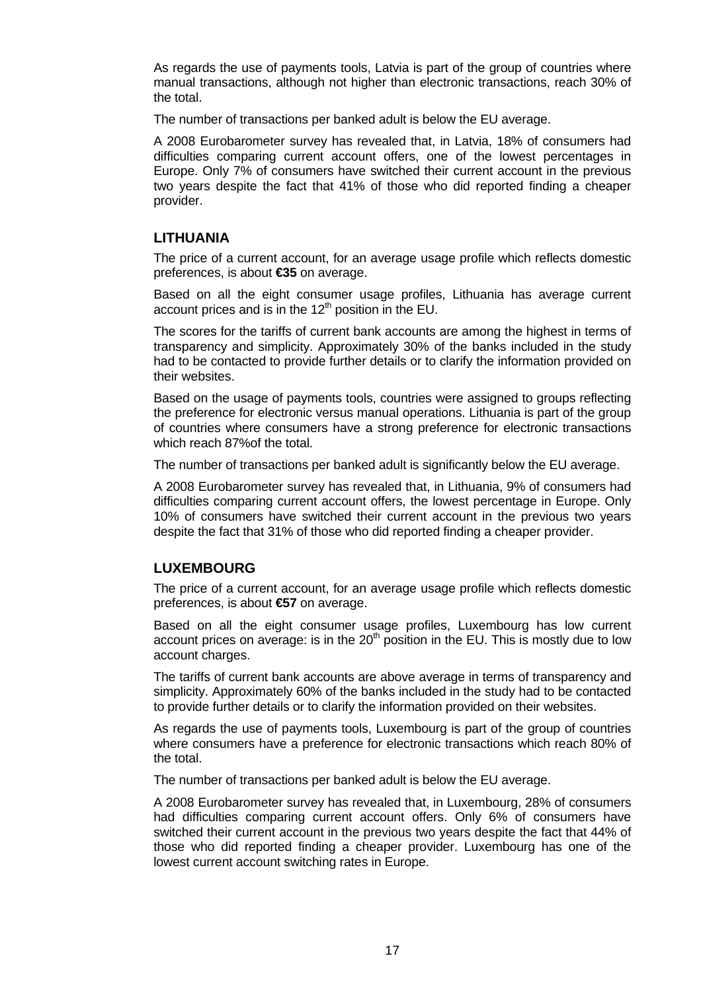As regards the use of payments tools, Latvia is part of the group of countries where manual transactions, although not higher than electronic transactions, reach 30% of the total.

The number of transactions per banked adult is below the EU average.

A 2008 Eurobarometer survey has revealed that, in Latvia, 18% of consumers had difficulties comparing current account offers, one of the lowest percentages in Europe. Only 7% of consumers have switched their current account in the previous two years despite the fact that 41% of those who did reported finding a cheaper provider.

### **LITHUANIA**

The price of a current account, for an average usage profile which reflects domestic preferences, is about **€35** on average.

Based on all the eight consumer usage profiles, Lithuania has average current account prices and is in the  $12<sup>th</sup>$  position in the EU.

The scores for the tariffs of current bank accounts are among the highest in terms of transparency and simplicity. Approximately 30% of the banks included in the study had to be contacted to provide further details or to clarify the information provided on their websites.

Based on the usage of payments tools, countries were assigned to groups reflecting the preference for electronic versus manual operations. Lithuania is part of the group of countries where consumers have a strong preference for electronic transactions which reach 87%of the total.

The number of transactions per banked adult is significantly below the EU average.

A 2008 Eurobarometer survey has revealed that, in Lithuania, 9% of consumers had difficulties comparing current account offers, the lowest percentage in Europe. Only 10% of consumers have switched their current account in the previous two years despite the fact that 31% of those who did reported finding a cheaper provider.

### **LUXEMBOURG**

The price of a current account, for an average usage profile which reflects domestic preferences, is about **€57** on average.

Based on all the eight consumer usage profiles, Luxembourg has low current account prices on average: is in the  $20<sup>th</sup>$  position in the EU. This is mostly due to low account charges.

The tariffs of current bank accounts are above average in terms of transparency and simplicity. Approximately 60% of the banks included in the study had to be contacted to provide further details or to clarify the information provided on their websites.

As regards the use of payments tools, Luxembourg is part of the group of countries where consumers have a preference for electronic transactions which reach 80% of the total.

The number of transactions per banked adult is below the EU average.

A 2008 Eurobarometer survey has revealed that, in Luxembourg, 28% of consumers had difficulties comparing current account offers. Only 6% of consumers have switched their current account in the previous two years despite the fact that 44% of those who did reported finding a cheaper provider. Luxembourg has one of the lowest current account switching rates in Europe.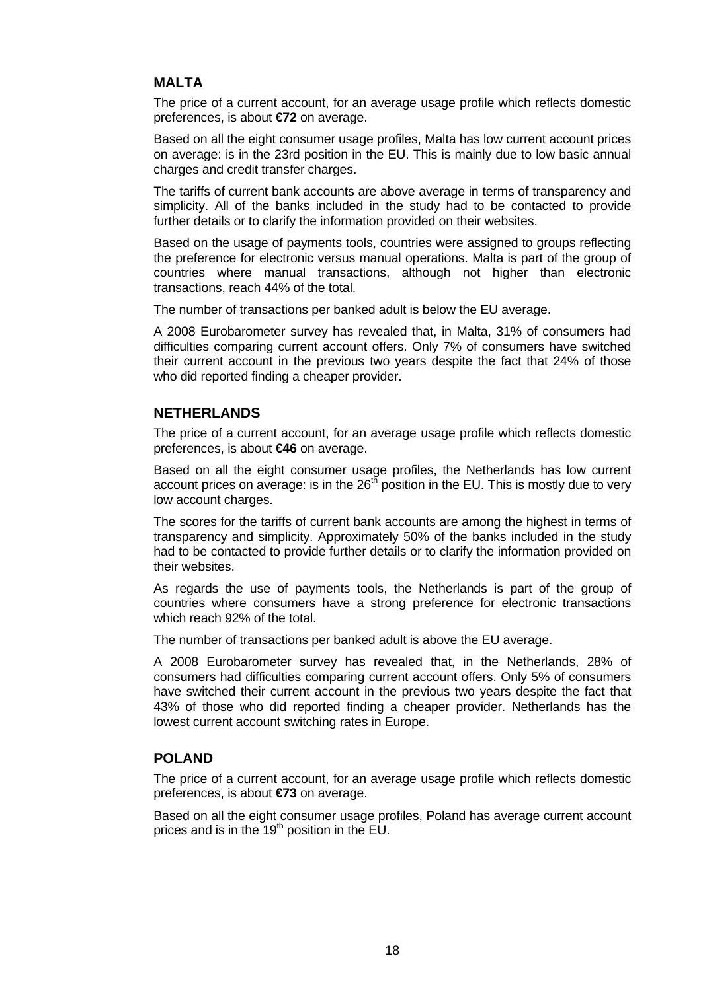## **MALTA**

The price of a current account, for an average usage profile which reflects domestic preferences, is about **€72** on average.

Based on all the eight consumer usage profiles, Malta has low current account prices on average: is in the 23rd position in the EU. This is mainly due to low basic annual charges and credit transfer charges.

The tariffs of current bank accounts are above average in terms of transparency and simplicity. All of the banks included in the study had to be contacted to provide further details or to clarify the information provided on their websites.

Based on the usage of payments tools, countries were assigned to groups reflecting the preference for electronic versus manual operations. Malta is part of the group of countries where manual transactions, although not higher than electronic transactions, reach 44% of the total.

The number of transactions per banked adult is below the EU average.

A 2008 Eurobarometer survey has revealed that, in Malta, 31% of consumers had difficulties comparing current account offers. Only 7% of consumers have switched their current account in the previous two years despite the fact that 24% of those who did reported finding a cheaper provider.

### **NETHERLANDS**

The price of a current account, for an average usage profile which reflects domestic preferences, is about **€46** on average.

Based on all the eight consumer usage profiles, the Netherlands has low current account prices on average: is in the  $26<sup>th</sup>$  position in the EU. This is mostly due to very low account charges.

The scores for the tariffs of current bank accounts are among the highest in terms of transparency and simplicity. Approximately 50% of the banks included in the study had to be contacted to provide further details or to clarify the information provided on their websites.

As regards the use of payments tools, the Netherlands is part of the group of countries where consumers have a strong preference for electronic transactions which reach 92% of the total.

The number of transactions per banked adult is above the EU average.

A 2008 Eurobarometer survey has revealed that, in the Netherlands, 28% of consumers had difficulties comparing current account offers. Only 5% of consumers have switched their current account in the previous two years despite the fact that 43% of those who did reported finding a cheaper provider. Netherlands has the lowest current account switching rates in Europe.

### **POLAND**

The price of a current account, for an average usage profile which reflects domestic preferences, is about **€73** on average.

Based on all the eight consumer usage profiles, Poland has average current account prices and is in the 19<sup>th</sup> position in the EU.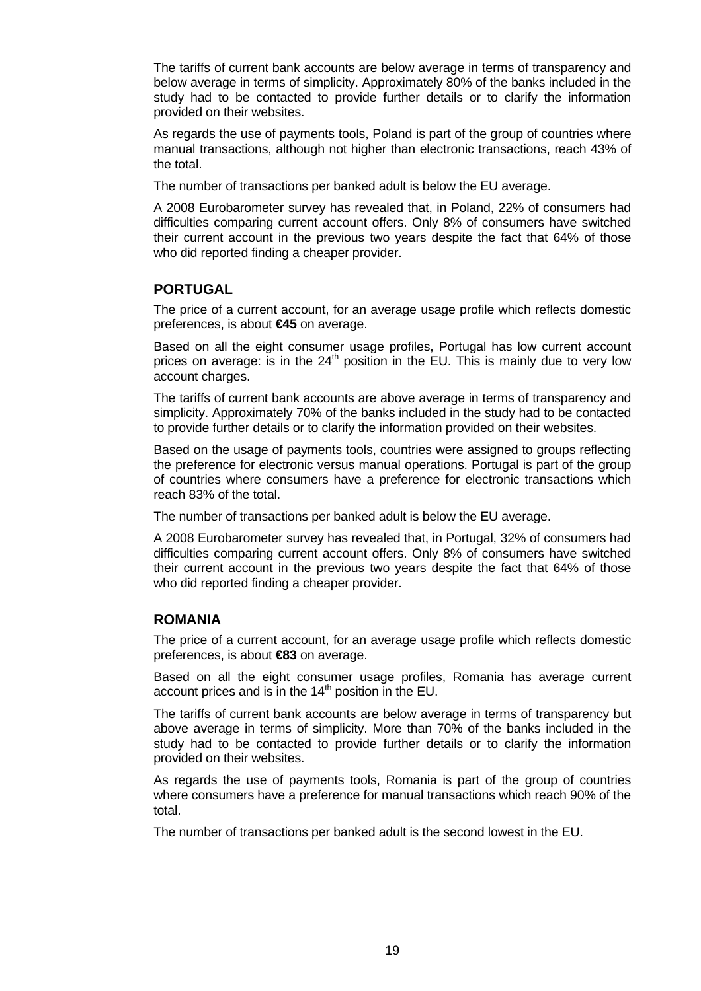The tariffs of current bank accounts are below average in terms of transparency and below average in terms of simplicity. Approximately 80% of the banks included in the study had to be contacted to provide further details or to clarify the information provided on their websites.

As regards the use of payments tools, Poland is part of the group of countries where manual transactions, although not higher than electronic transactions, reach 43% of the total.

The number of transactions per banked adult is below the EU average.

A 2008 Eurobarometer survey has revealed that, in Poland, 22% of consumers had difficulties comparing current account offers. Only 8% of consumers have switched their current account in the previous two years despite the fact that 64% of those who did reported finding a cheaper provider.

### **PORTUGAL**

The price of a current account, for an average usage profile which reflects domestic preferences, is about **€45** on average.

Based on all the eight consumer usage profiles, Portugal has low current account prices on average: is in the  $24<sup>th</sup>$  position in the EU. This is mainly due to very low account charges.

The tariffs of current bank accounts are above average in terms of transparency and simplicity. Approximately 70% of the banks included in the study had to be contacted to provide further details or to clarify the information provided on their websites.

Based on the usage of payments tools, countries were assigned to groups reflecting the preference for electronic versus manual operations. Portugal is part of the group of countries where consumers have a preference for electronic transactions which reach 83% of the total.

The number of transactions per banked adult is below the EU average.

A 2008 Eurobarometer survey has revealed that, in Portugal, 32% of consumers had difficulties comparing current account offers. Only 8% of consumers have switched their current account in the previous two years despite the fact that 64% of those who did reported finding a cheaper provider.

### **ROMANIA**

The price of a current account, for an average usage profile which reflects domestic preferences, is about **€83** on average.

Based on all the eight consumer usage profiles, Romania has average current account prices and is in the 14<sup>th</sup> position in the EU.

The tariffs of current bank accounts are below average in terms of transparency but above average in terms of simplicity. More than 70% of the banks included in the study had to be contacted to provide further details or to clarify the information provided on their websites.

As regards the use of payments tools, Romania is part of the group of countries where consumers have a preference for manual transactions which reach 90% of the total.

The number of transactions per banked adult is the second lowest in the EU.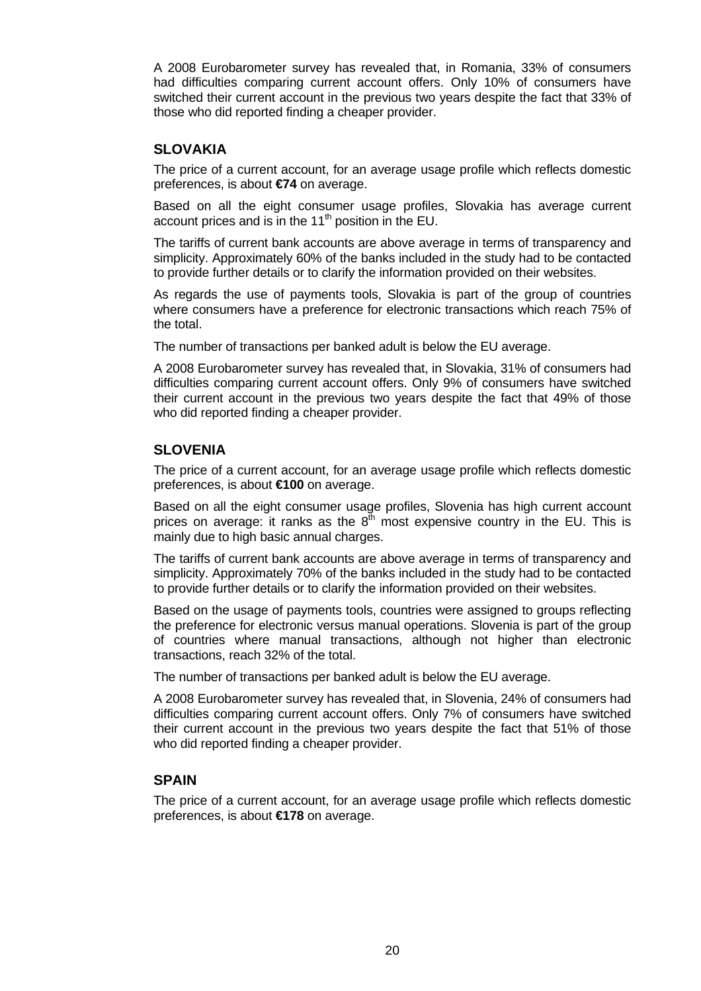A 2008 Eurobarometer survey has revealed that, in Romania, 33% of consumers had difficulties comparing current account offers. Only 10% of consumers have switched their current account in the previous two years despite the fact that 33% of those who did reported finding a cheaper provider.

### **SLOVAKIA**

The price of a current account, for an average usage profile which reflects domestic preferences, is about **€74** on average.

Based on all the eight consumer usage profiles, Slovakia has average current account prices and is in the 11<sup>th</sup> position in the EU.

The tariffs of current bank accounts are above average in terms of transparency and simplicity. Approximately 60% of the banks included in the study had to be contacted to provide further details or to clarify the information provided on their websites.

As regards the use of payments tools, Slovakia is part of the group of countries where consumers have a preference for electronic transactions which reach 75% of the total.

The number of transactions per banked adult is below the EU average.

A 2008 Eurobarometer survey has revealed that, in Slovakia, 31% of consumers had difficulties comparing current account offers. Only 9% of consumers have switched their current account in the previous two years despite the fact that 49% of those who did reported finding a cheaper provider.

### **SLOVENIA**

The price of a current account, for an average usage profile which reflects domestic preferences, is about **€100** on average.

Based on all the eight consumer usage profiles, Slovenia has high current account prices on average: it ranks as the  $8<sup>th</sup>$  most expensive country in the EU. This is mainly due to high basic annual charges.

The tariffs of current bank accounts are above average in terms of transparency and simplicity. Approximately 70% of the banks included in the study had to be contacted to provide further details or to clarify the information provided on their websites.

Based on the usage of payments tools, countries were assigned to groups reflecting the preference for electronic versus manual operations. Slovenia is part of the group of countries where manual transactions, although not higher than electronic transactions, reach 32% of the total.

The number of transactions per banked adult is below the EU average.

A 2008 Eurobarometer survey has revealed that, in Slovenia, 24% of consumers had difficulties comparing current account offers. Only 7% of consumers have switched their current account in the previous two years despite the fact that 51% of those who did reported finding a cheaper provider.

### **SPAIN**

The price of a current account, for an average usage profile which reflects domestic preferences, is about **€178** on average.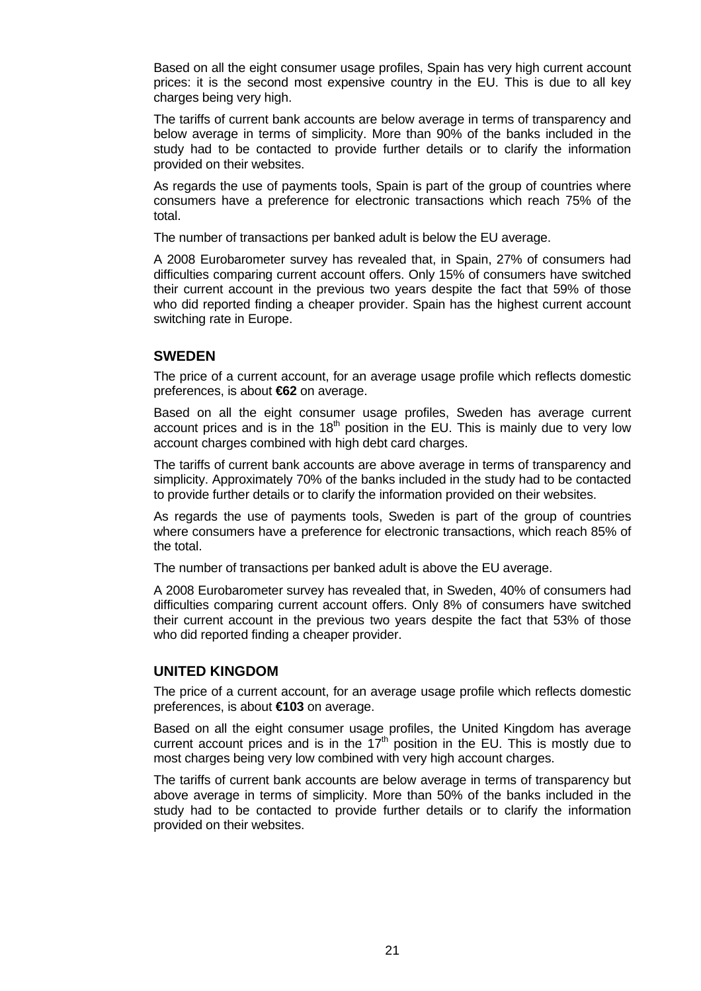Based on all the eight consumer usage profiles, Spain has very high current account prices: it is the second most expensive country in the EU. This is due to all key charges being very high.

The tariffs of current bank accounts are below average in terms of transparency and below average in terms of simplicity. More than 90% of the banks included in the study had to be contacted to provide further details or to clarify the information provided on their websites.

As regards the use of payments tools, Spain is part of the group of countries where consumers have a preference for electronic transactions which reach 75% of the total.

The number of transactions per banked adult is below the EU average.

A 2008 Eurobarometer survey has revealed that, in Spain, 27% of consumers had difficulties comparing current account offers. Only 15% of consumers have switched their current account in the previous two years despite the fact that 59% of those who did reported finding a cheaper provider. Spain has the highest current account switching rate in Europe.

### **SWEDEN**

The price of a current account, for an average usage profile which reflects domestic preferences, is about **€62** on average.

Based on all the eight consumer usage profiles, Sweden has average current account prices and is in the  $18<sup>th</sup>$  position in the EU. This is mainly due to very low account charges combined with high debt card charges.

The tariffs of current bank accounts are above average in terms of transparency and simplicity. Approximately 70% of the banks included in the study had to be contacted to provide further details or to clarify the information provided on their websites.

As regards the use of payments tools, Sweden is part of the group of countries where consumers have a preference for electronic transactions, which reach 85% of the total.

The number of transactions per banked adult is above the EU average.

A 2008 Eurobarometer survey has revealed that, in Sweden, 40% of consumers had difficulties comparing current account offers. Only 8% of consumers have switched their current account in the previous two years despite the fact that 53% of those who did reported finding a cheaper provider.

### **UNITED KINGDOM**

The price of a current account, for an average usage profile which reflects domestic preferences, is about **€103** on average.

Based on all the eight consumer usage profiles, the United Kingdom has average current account prices and is in the  $17<sup>th</sup>$  position in the EU. This is mostly due to most charges being very low combined with very high account charges.

The tariffs of current bank accounts are below average in terms of transparency but above average in terms of simplicity. More than 50% of the banks included in the study had to be contacted to provide further details or to clarify the information provided on their websites.